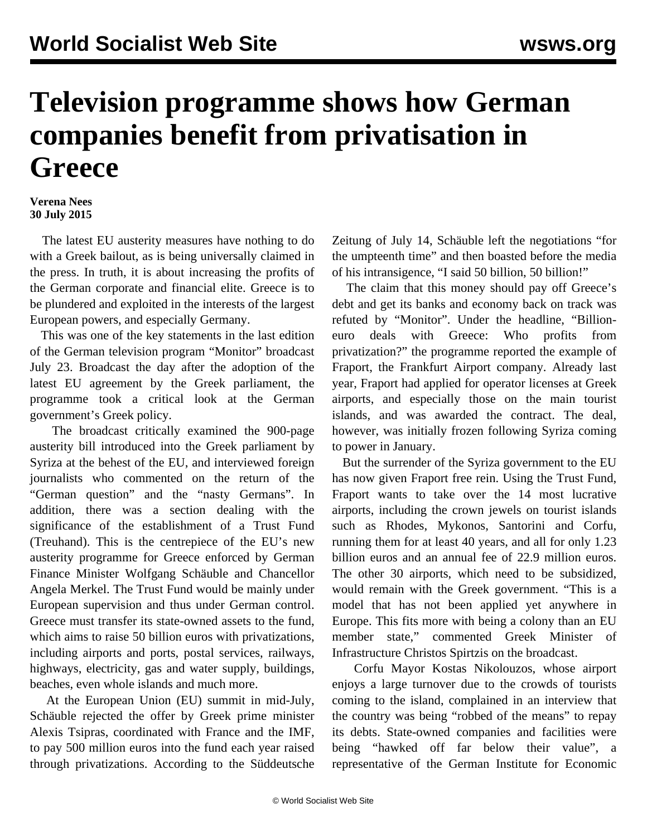## **Television programme shows how German companies benefit from privatisation in Greece**

## **Verena Nees 30 July 2015**

 The latest EU austerity measures have nothing to do with a Greek bailout, as is being universally claimed in the press. In truth, it is about increasing the profits of the German corporate and financial elite. Greece is to be plundered and exploited in the interests of the largest European powers, and especially Germany.

 This was one of the key statements in the last edition of the German television program "Monitor" broadcast July 23. Broadcast the day after the adoption of the latest EU agreement by the Greek parliament, the programme took a critical look at the German government's Greek policy.

 The broadcast critically examined the 900-page austerity bill introduced into the Greek parliament by Syriza at the behest of the EU, and interviewed foreign journalists who commented on the return of the "German question" and the "nasty Germans". In addition, there was a section dealing with the significance of the establishment of a Trust Fund (Treuhand). This is the centrepiece of the EU's new austerity programme for Greece enforced by German Finance Minister Wolfgang Schäuble and Chancellor Angela Merkel. The Trust Fund would be mainly under European supervision and thus under German control. Greece must transfer its state-owned assets to the fund, which aims to raise 50 billion euros with privatizations, including airports and ports, postal services, railways, highways, electricity, gas and water supply, buildings, beaches, even whole islands and much more.

 At the European Union (EU) summit in mid-July, Schäuble rejected the offer by Greek prime minister Alexis Tsipras, coordinated with France and the IMF, to pay 500 million euros into the fund each year raised through privatizations. According to the Süddeutsche Zeitung of July 14, Schäuble left the negotiations "for the umpteenth time" and then boasted before the media of his intransigence, "I said 50 billion, 50 billion!"

 The claim that this money should pay off Greece's debt and get its banks and economy back on track was refuted by "Monitor". Under the headline, "Billioneuro deals with Greece: Who profits from privatization?" the programme reported the example of Fraport, the Frankfurt Airport company. Already last year, Fraport had applied for operator licenses at Greek airports, and especially those on the main tourist islands, and was awarded the contract. The deal, however, was initially frozen following Syriza coming to power in January.

 But the surrender of the Syriza government to the EU has now given Fraport free rein. Using the Trust Fund, Fraport wants to take over the 14 most lucrative airports, including the crown jewels on tourist islands such as Rhodes, Mykonos, Santorini and Corfu, running them for at least 40 years, and all for only 1.23 billion euros and an annual fee of 22.9 million euros. The other 30 airports, which need to be subsidized, would remain with the Greek government. "This is a model that has not been applied yet anywhere in Europe. This fits more with being a colony than an EU member state," commented Greek Minister of Infrastructure Christos Spirtzis on the broadcast.

 Corfu Mayor Kostas Nikolouzos, whose airport enjoys a large turnover due to the crowds of tourists coming to the island, complained in an interview that the country was being "robbed of the means" to repay its debts. State-owned companies and facilities were being "hawked off far below their value", a representative of the German Institute for Economic